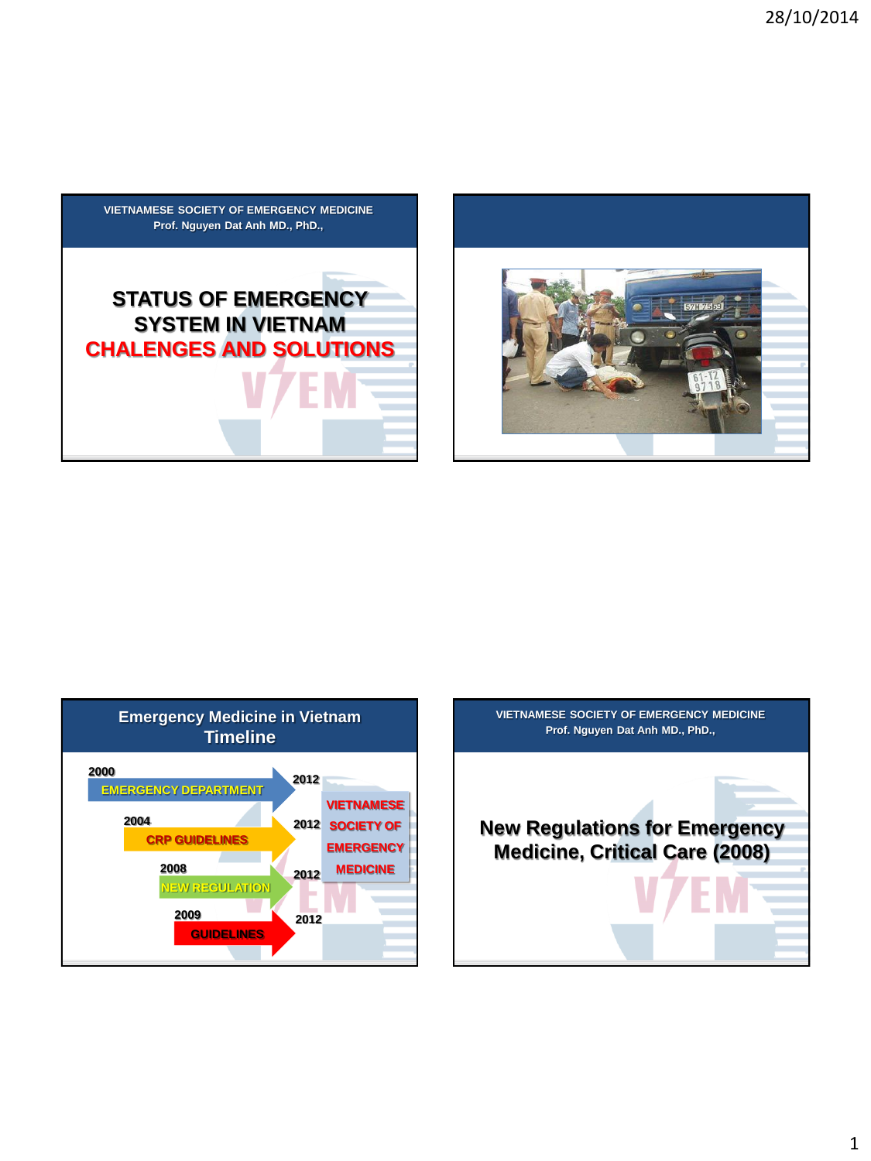





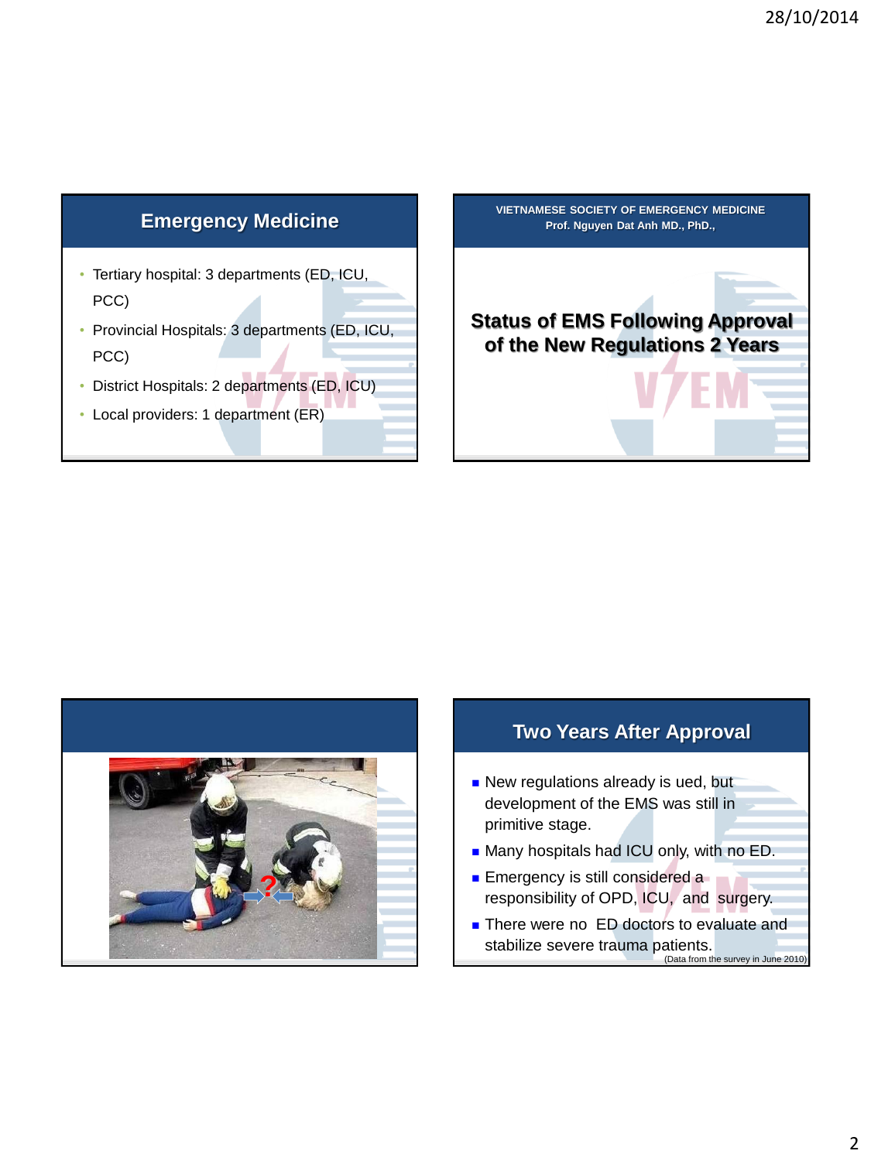### **Emergency Medicine**

- Tertiary hospital: 3 departments (ED, ICU, PCC)
- Provincial Hospitals: 3 departments (ED, ICU, PCC)
- District Hospitals: 2 departments (ED, ICU)
- Local providers: 1 department (ER)





# **Two Years After Approval** New regulations already is ued, but development of the EMS was still in primitive stage. **Many hospitals had ICU only, with no ED. Emergency is still considered a** responsibility of OPD, ICU, and surgery. ■ There were no ED doctors to evaluate and stabilize severe trauma patients. (Data from the survey in June 2010)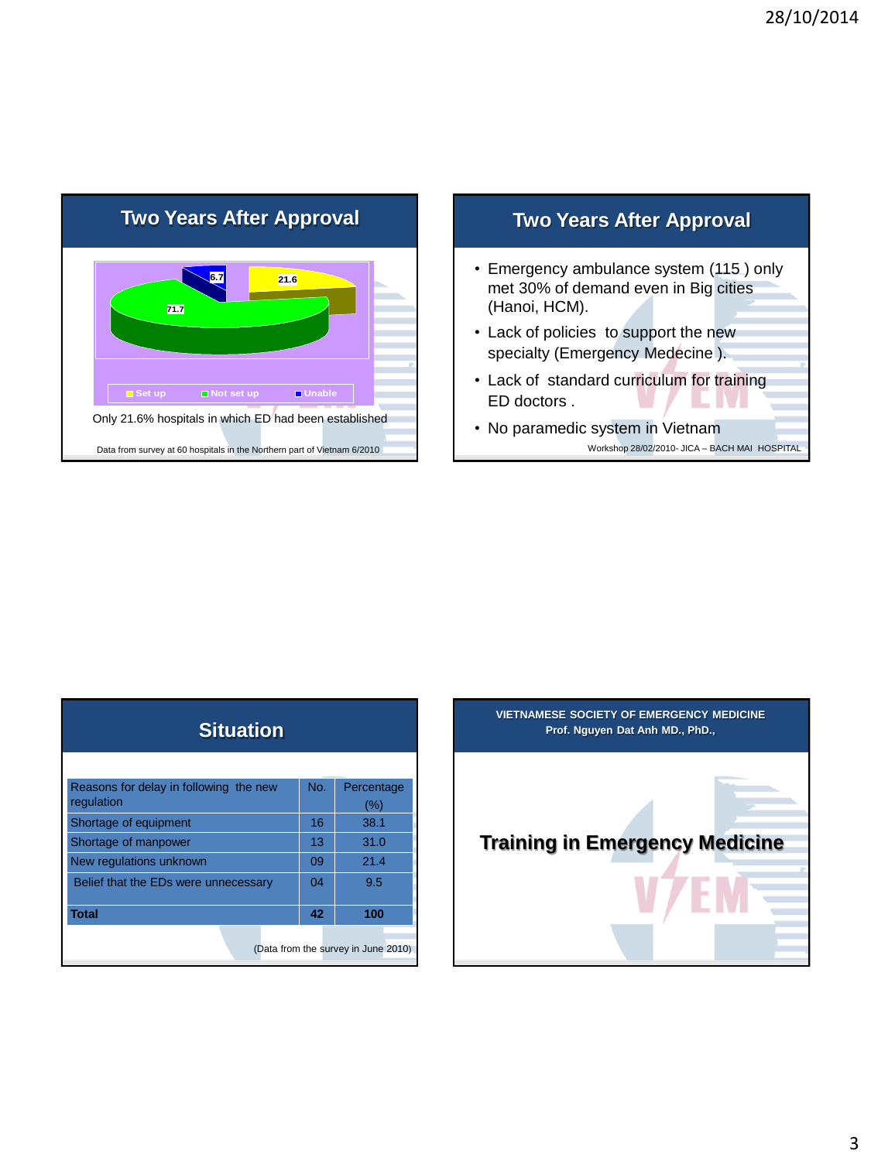



| <b>Situation</b>                                     |     |                   |
|------------------------------------------------------|-----|-------------------|
|                                                      |     |                   |
| Reasons for delay in following the new<br>regulation | No. | Percentage<br>(%) |
| Shortage of equipment                                | 16  | 38.1              |
| Shortage of manpower                                 | 13  | 31.0              |
| New regulations unknown                              | 09  | 21.4              |
| Belief that the EDs were unnecessary                 | 04  | 9.5               |
| <b>Total</b>                                         | 42  | 100               |
| (Data from the survey in June 2010)                  |     |                   |

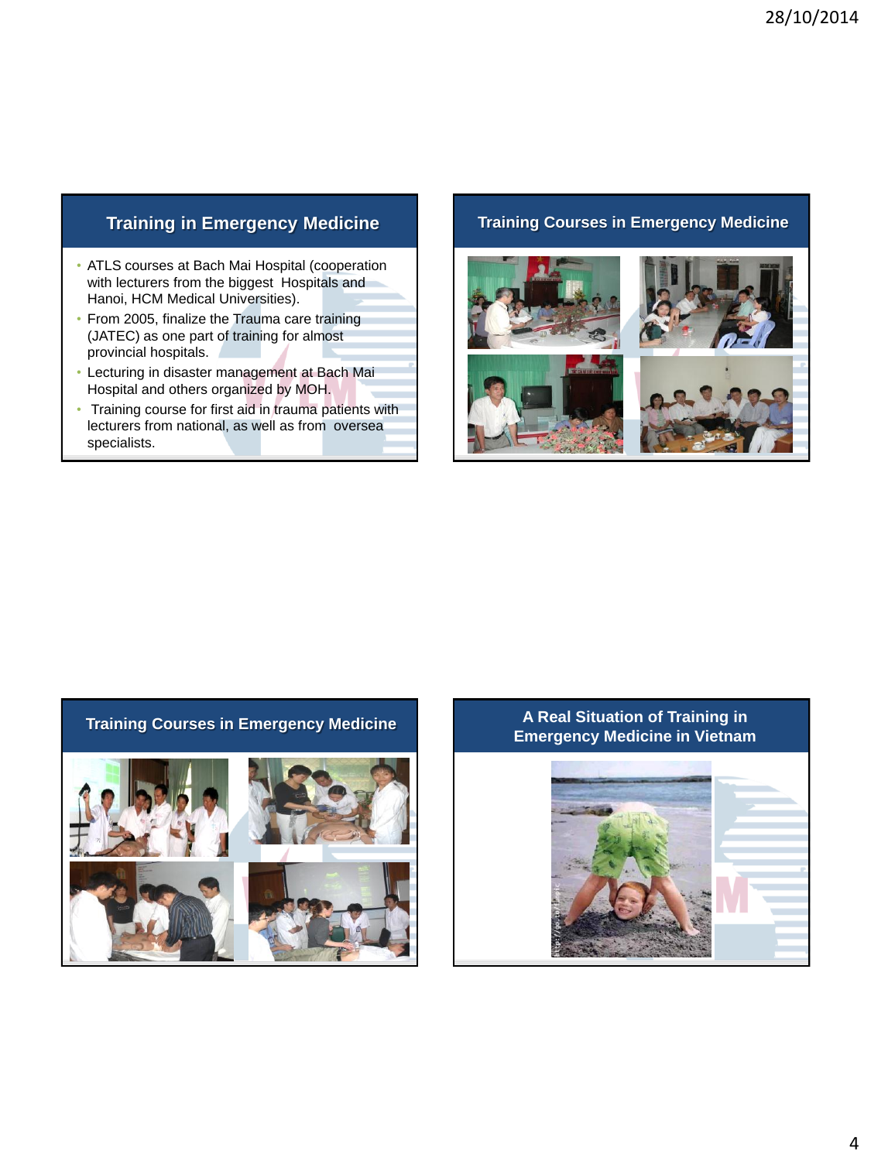## **Training in Emergency Medicine**

- ATLS courses at Bach Mai Hospital (cooperation with lecturers from the biggest Hospitals and Hanoi, HCM Medical Universities).
- From 2005, finalize the Trauma care training (JATEC) as one part of training for almost provincial hospitals.
- Lecturing in disaster management at Bach Mai Hospital and others organized by MOH.
- Training course for first aid in trauma patients with lecturers from national, as well as from oversea specialists.

#### **Training Courses in Emergency Medicine**





#### **Training Courses in Emergency Medicine A Real Situation of Training in Emergency Medicine in Vietnam**

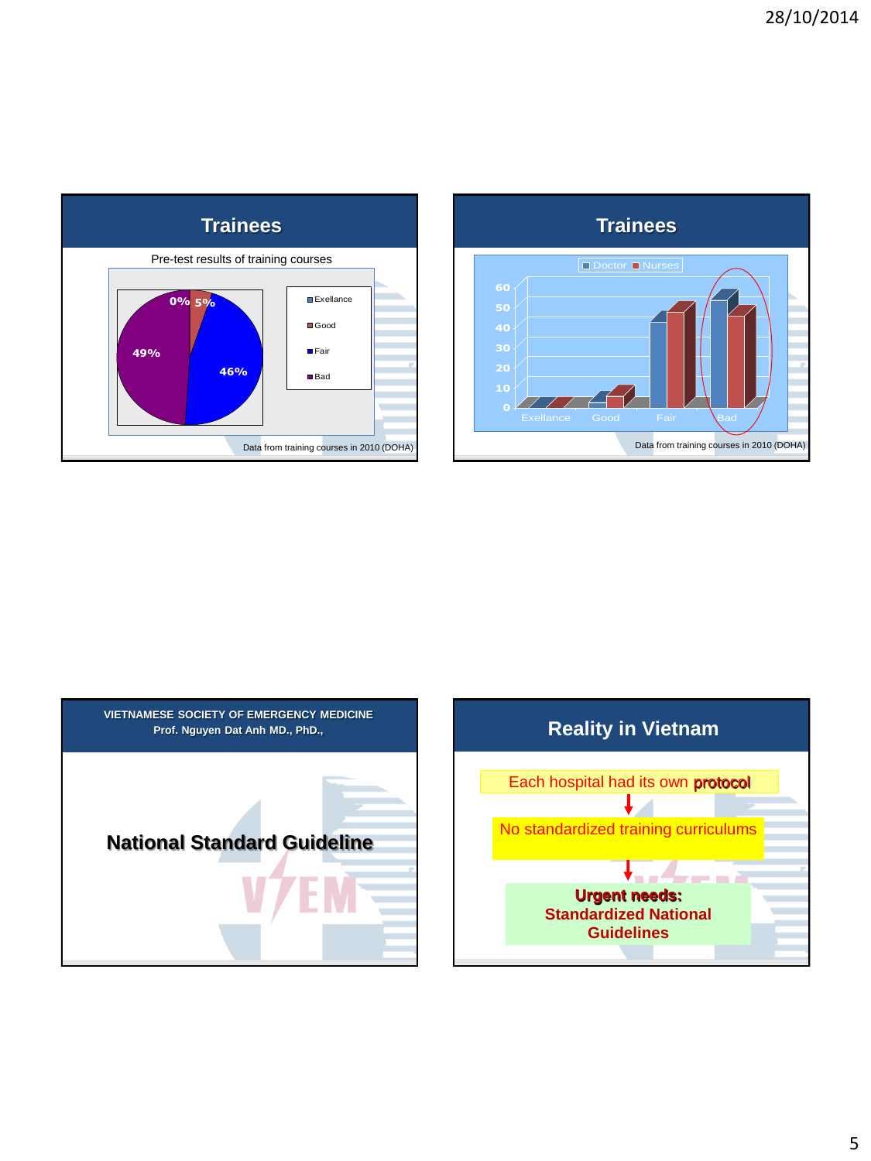**Trainees**

D Doctor **Nurses** 

Exellance Good Fair Bad

**0**

**30**

Data from training courses in 2010 (DOHA)



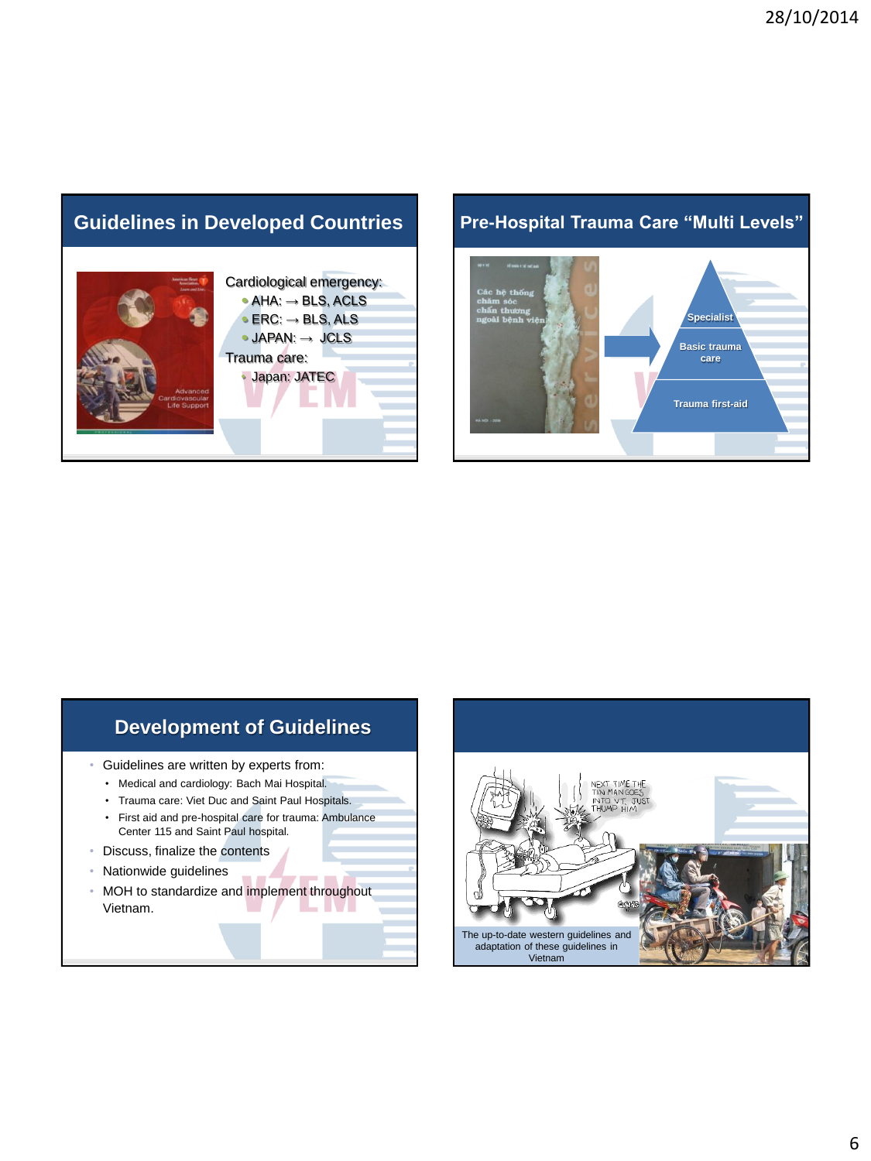## **Guidelines in Developed Countries**



#### **Pre-Hospital Trauma Care "Multi Levels"**



# **Development of Guidelines**

• Guidelines are written by experts from:

- Medical and cardiology: Bach Mai Hospital.
- Trauma care: Viet Duc and Saint Paul Hospitals.
- First aid and pre-hospital care for trauma: Ambulance Center 115 and Saint Paul hospital.
- Discuss, finalize the contents
- Nationwide guidelines
- MOH to standardize and implement throughout Vietnam.

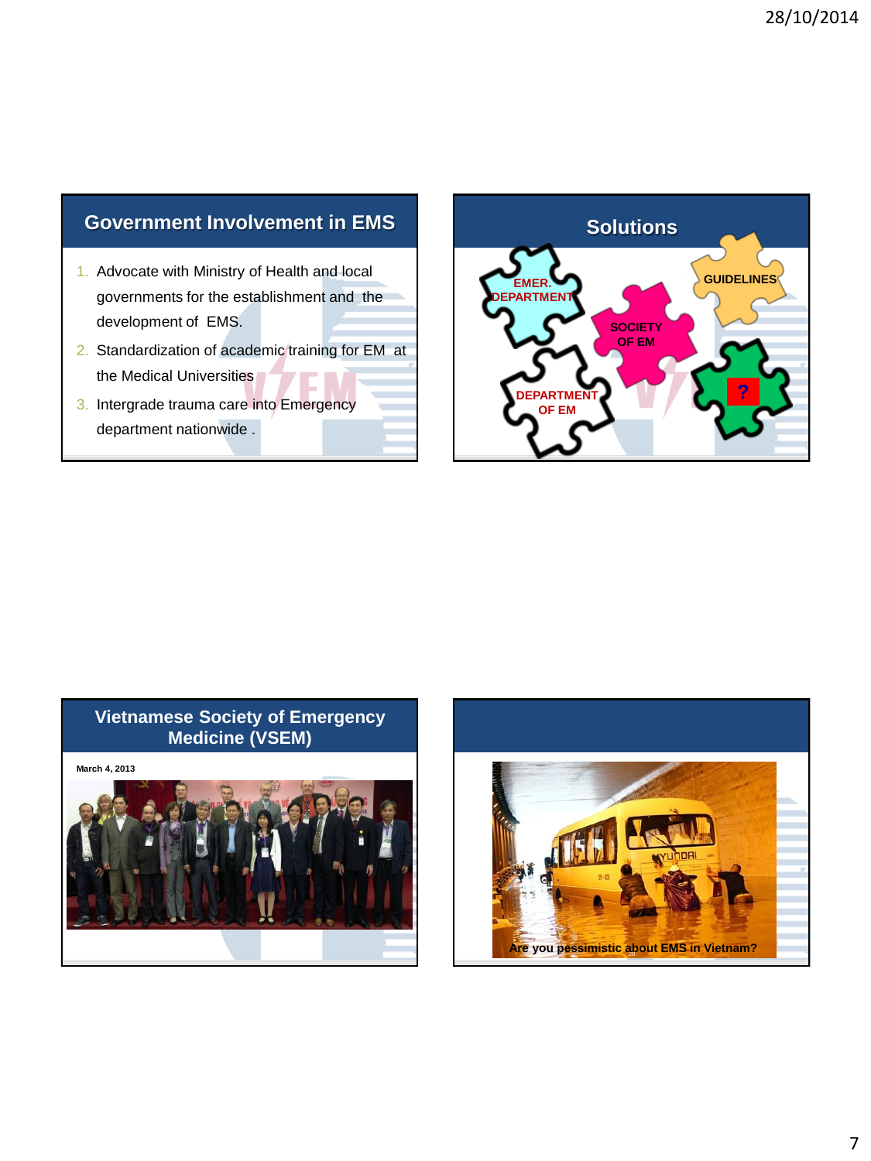## **Government Involvement in EMS**

- 1. Advocate with Ministry of Health and local governments for the establishment and the development of EMS.
- 2. Standardization of academic training for EM at the Medical Universities
- 3. Intergrade trauma care into Emergency department nationwide .



#### **Vietnamese Society of Emergency Medicine (VSEM)**

**March 4, 2013**